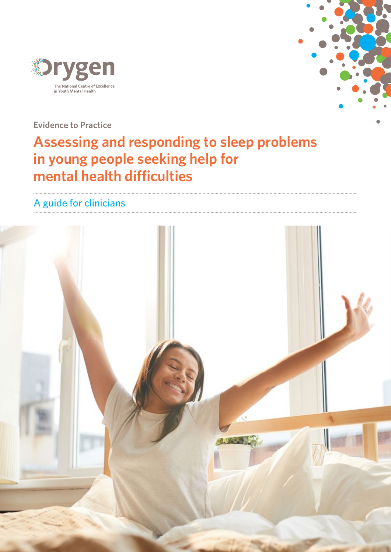



**Evidence to Practice**

# **Assessing and responding to sleep problems in young people seeking help for mental health difficulties**

## A guide for clinicians

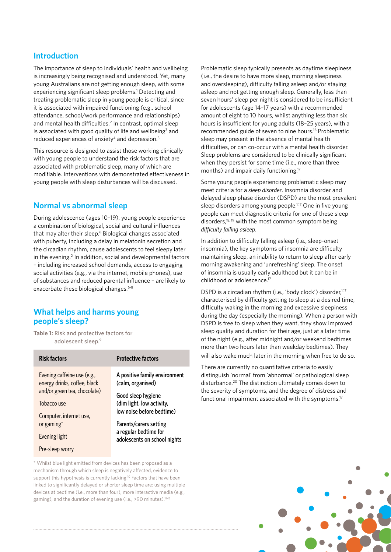## **Introduction**

The importance of sleep to individuals' health and wellbeing is increasingly being recognised and understood. Yet, many young Australians are not getting enough sleep, with some experiencing significant sleep problems.<sup>1</sup> Detecting and treating problematic sleep in young people is critical, since it is associated with impaired functioning (e.g., school attendance, school/work performance and relationships) and mental health difficulties.<sup>2</sup> In contrast, optimal sleep is associated with good quality of life and wellbeing<sup>3</sup> and reduced experiences of anxiety<sup>4</sup> and depression.<sup>5</sup>

This resource is designed to assist those working clinically with young people to understand the risk factors that are associated with problematic sleep, many of which are modifiable. Interventions with demonstrated effectiveness in young people with sleep disturbances will be discussed.

## **Normal vs abnormal sleep**

During adolescence (ages 10–19), young people experience a combination of biological, social and cultural influences that may alter their sleep.<sup>6</sup> Biological changes associated with puberty, including a delay in melatonin secretion and the circadian rhythm, cause adolescents to feel sleepy later in the evening.<sup>2</sup> In addition, social and developmental factors – including increased school demands, access to engaging social activities (e.g., via the internet, mobile phones), use of substances and reduced parental influence – are likely to exacerbate these biological changes.<sup>6-8</sup>

## **What helps and harms young people's sleep?**

**Table 1:** Risk and protective factors for adolescent sleep.9

| <b>Risk factors</b>          | <b>Protective factors</b>     |
|------------------------------|-------------------------------|
| Evening caffeine use (e.g.,  | A positive family environment |
| energy drinks, coffee, black | (calm, organised)             |
| and/or green tea, chocolate) | Good sleep hygiene            |
| Tobacco use                  | (dim light, low activity,     |
| Computer, internet use,      | low noise before bedtime)     |
| or gaming*                   | Parents/carers setting        |
| Evening light                | a regular bedtime for         |
| Pre-sleep worry              | adolescents on school nights  |

\* Whilst blue light emitted from devices has been proposed as a mechanism through which sleep is negatively affected, evidence to support this hypothesis is currently lacking.<sup>10</sup> Factors that have been linked to significantly delayed or shorter sleep time are: using multiple devices at bedtime (i.e., more than four), more interactive media (e.g., gaming), and the duration of evening use (i.e., >90 minutes).<sup>11-15</sup>

Problematic sleep typically presents as daytime sleepiness (i.e., the desire to have more sleep, morning sleepiness and oversleeping), difficulty falling asleep and/or staying asleep and not getting enough sleep. Generally, less than seven hours' sleep per night is considered to be insufficient for adolescents (age 14–17 years) with a recommended amount of eight to 10 hours, whilst anything less than six hours is insufficient for young adults (18–25 years), with a recommended guide of seven to nine hours.16 Problematic sleep may present in the absence of mental health difficulties, or can co-occur with a mental health disorder. Sleep problems are considered to be clinically significant when they persist for some time (i.e., more than three months) and impair daily functioning.17

Some young people experiencing problematic sleep may meet criteria for a *sleep disorder*. Insomnia disorder and delayed sleep phase disorder (DSPD) are the most prevalent sleep disorders among young people.<sup>1,17</sup> One in five young people can meet diagnostic criteria for one of these sleep disorders,18, 19 with the most common symptom being *difficulty falling asleep*.

In addition to difficulty falling asleep (i.e., sleep-onset insomnia), the key symptoms of insomnia are difficulty maintaining sleep, an inability to return to sleep after early morning awakening and 'unrefreshing' sleep. The onset of insomnia is usually early adulthood but it can be in childhood or adolescence.17

DSPD is a circadian rhythm (i.e., 'body clock') disorder,<sup>1,17</sup> characterised by difficulty getting to sleep at a desired time, difficulty waking in the morning and excessive sleepiness during the day (especially the morning). When a person with DSPD is free to sleep when they want, they show improved sleep quality and duration for their age, just at a later time of the night (e.g., after midnight and/or weekend bedtimes more than two hours later than weekday bedtimes). They will also wake much later in the morning when free to do so.

There are currently no quantitative criteria to easily distinguish 'normal' from 'abnormal' or pathological sleep disturbance.20 The distinction ultimately comes down to the severity of symptoms, and the degree of distress and functional impairment associated with the symptoms.17

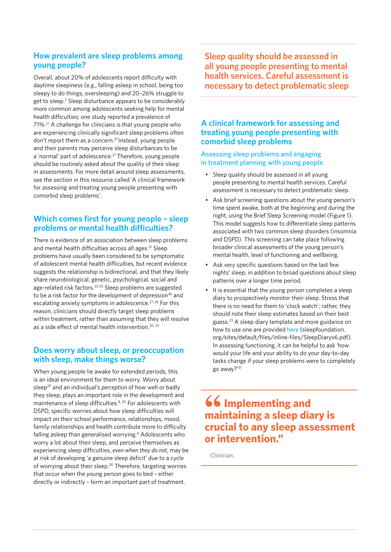## **How prevalent are sleep problems among young people?**

Overall, about 20% of adolescents report difficulty with daytime sleepiness (e.g., falling asleep in school, being too sleepy to do things, oversleeping) and 20–26% struggle to get to sleep.<sup>2</sup> Sleep disturbance appears to be considerably more common among adolescents seeking help for mental health difficulties; one study reported a prevalence of 71%.21 A challenge for clinicians is that young people who are experiencing clinically significant sleep problems often don't report them as a concern.<sup>21</sup> Instead, young people and their parents may perceive sleep disturbances to be a 'normal' part of adolescence.<sup>21</sup> Therefore, young people should be routinely asked about the quality of their sleep in assessments. For more detail around sleep assessments, see the section in this resource called 'A clinical framework for assessing and treating young people presenting with comorbid sleep problems'.

## **Which comes first for young people – sleep problems or mental health difficulties?**

There is evidence of an association between sleep problems and mental health difficulties across all ages.<sup>21</sup> Sleep problems have usually been considered to be symptomatic of adolescent mental health difficulties, but recent evidence suggests the relationship is bidirectional, and that they likely share neurobiological, genetic, psychological, social and age-related risk factors.<sup>22-25</sup> Sleep problems are suggested to be a risk factor for the development of depression<sup>26</sup> and escalating anxiety symptoms in adolescence.<sup>27, 28</sup> For this reason, clinicians should directly target sleep problems within treatment, rather than assuming that they will resolve as a side effect of mental health intervention.<sup>20, 23</sup>

## **Does worry about sleep, or preoccupation with sleep, make things worse?**

When young people lie awake for extended periods, this is an ideal environment for them to worry. Worry about sleep29 and an individual's *perception* of how well or badly they sleep, plays an important role in the development and maintenance of sleep difficulties.<sup>8, 30</sup> For adolescents with DSPD, specific worries about how sleep difficulties will impact on their school performance, relationships, mood, family relationships and health contribute more to difficulty falling asleep than generalised worrying.<sup>8</sup> Adolescents who worry a lot about their sleep, and perceive themselves as experiencing sleep difficulties, *even when they do not*, may be at risk of developing 'a genuine sleep deficit' due to a cycle of worrying about their sleep.<sup>30</sup> Therefore, targeting worries that occur when the young person goes to bed – either directly or indirectly – form an important part of treatment.

**Sleep quality should be assessed in all young people presenting to mental health services. Careful assessment is necessary to detect problematic sleep**

## **A clinical framework for assessing and treating young people presenting with comorbid sleep problems**

### Assessing sleep problems and engaging in treatment planning with young people

- Sleep quality should be assessed in all young people presenting to mental health services. Careful assessment is necessary to detect problematic sleep.
- Ask brief screening questions about the young person's time spent awake, both at the beginning and during the night, using the Brief Sleep Screening model (Figure 1). This model suggests how to differentiate sleep patterns associated with two common sleep disorders (insomnia and DSPD). This screening can take place following broader clinical assessments of the young person's mental health, level of functioning and wellbeing.
- Ask very specific questions based on the last few nights' sleep, in addition to broad questions about sleep patterns over a longer time period.
- It is essential that the young person completes a sleep diary to prospectively monitor their sleep. Stress that there is no need for them to 'clock watch'; rather, they should note their sleep estimates based on their best guess.23 A sleep diary template and more guidance on how to use one are provided [here](http://sleepfoundation.org/sites/default/files/inline-files/SleepDiaryv6.pdf) (sleepfoundation. org/sites/default/files/inline-files/SleepDiaryv6.pdf). In assessing functioning, it can be helpful to ask 'how would your life and your ability to do your day-to-day tasks change if your sleep problems were to completely go away?'31

## **66 Implementing and maintaining a sleep diary is crucial to any sleep assessment or intervention."**

Clinician.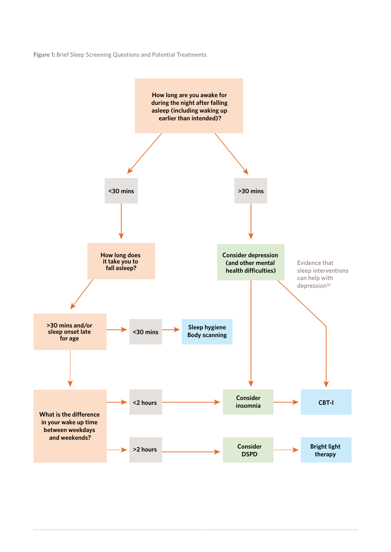**Figure 1:** Brief Sleep Screening Questions and Potential Treatments

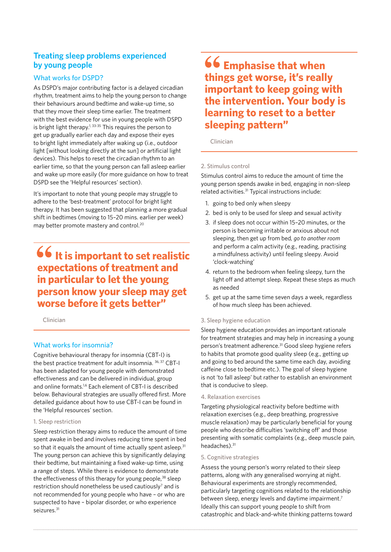## **Treating sleep problems experienced by young people**

### What works for DSPD?

As DSPD's major contributing factor is a delayed circadian rhythm, treatment aims to help the young person to change their behaviours around bedtime and wake-up time, so that they move their sleep time earlier. The treatment with the best evidence for use in young people with DSPD is bright light therapy.<sup>1, 33-35</sup> This requires the person to get up gradually earlier each day and expose their eyes to bright light immediately after waking up (i.e., outdoor light [without looking directly at the sun] or artificial light devices). This helps to reset the circadian rhythm to an earlier time, so that the young person can fall asleep earlier and wake up more easily (for more guidance on how to treat DSPD see the 'Helpful resources' section).

It's important to note that young people may struggle to adhere to the 'best-treatment' protocol for bright light therapy. It has been suggested that planning a more gradual shift in bedtimes (moving to 15–20 mins. earlier per week) may better promote mastery and control.20

## **66** It is important to set realistic **expectations of treatment and in particular to let the young person know your sleep may get worse before it gets better"**

Clinician

### What works for insomnia?

Cognitive behavioural therapy for insomnia (CBT-I) is the best practice treatment for adult insomnia. 36, 37 CBT-I has been adapted for young people with demonstrated effectiveness and can be delivered in individual, group and online formats.1,6 Each element of CBT-I is described below. Behavioural strategies are usually offered first. More detailed guidance about how to use CBT-I can be found in the 'Helpful resources' section.

#### 1. Sleep restriction

Sleep restriction therapy aims to reduce the amount of time spent awake in bed and involves reducing time spent in bed so that it equals the amount of time actually spent asleep.<sup>31</sup> The young person can achieve this by significantly delaying their bedtime, but maintaining a fixed wake-up time, using a range of steps. While there is evidence to demonstrate the effectiveness of this therapy for young people,<sup>38</sup> sleep restriction should nonetheless be used cautiously<sup>7</sup> and is not recommended for young people who have – or who are suspected to have – bipolar disorder, or who experience seizures.<sup>31</sup>

## **66 Emphasise that when things get worse, it's really important to keep going with the intervention. Your body is learning to reset to a better sleeping pattern"**

Clinician

#### 2. Stimulus control

Stimulus control aims to reduce the amount of time the young person spends awake in bed, engaging in non-sleep related activities.31 Typical instructions include:

- 1. going to bed only when sleepy
- 2. bed is only to be used for sleep and sexual activity
- 3. if sleep does not occur within 15–20 minutes, or the person is becoming irritable or anxious about not sleeping, then get up from bed*, go to another room* and perform a calm activity (e.g., reading, practising a mindfulness activity) until feeling sleepy. Avoid 'clock-watching'
- 4. return to the bedroom when feeling sleepy, turn the light off and attempt sleep. Repeat these steps as much as needed
- 5. get up at the same time seven days a week, regardless of how much sleep has been achieved.

#### 3. Sleep hygiene education

Sleep hygiene education provides an important rationale for treatment strategies and may help in increasing a young person's treatment adherence.<sup>31</sup> Good sleep hygiene refers to habits that promote good quality sleep (e.g., getting up and going to bed around the same time each day, avoiding caffeine close to bedtime etc.). The goal of sleep hygiene is not 'to fall asleep' but rather to establish an environment that is conducive to sleep.

#### 4. Relaxation exercises

Targeting physiological reactivity before bedtime with relaxation exercises (e.g., deep breathing, progressive muscle relaxation) may be particularly beneficial for young people who describe difficulties 'switching off' and those presenting with somatic complaints (e.g., deep muscle pain, headaches).<sup>31</sup>

#### 5. Cognitive strategies

Assess the young person's worry related to their sleep patterns, along with any generalised worrying at night. Behavioural experiments are strongly recommended, particularly targeting cognitions related to the relationship between sleep, energy levels and daytime impairment.<sup>7</sup> Ideally this can support young people to shift from catastrophic and black-and-white thinking patterns toward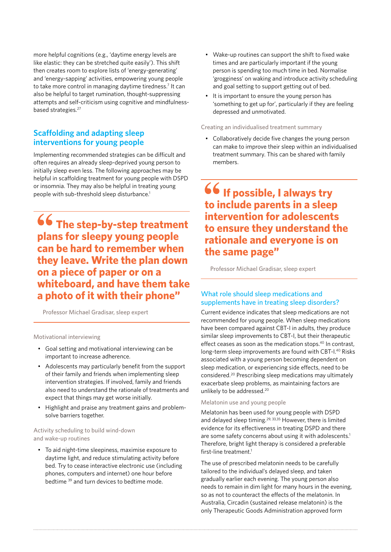more helpful cognitions (e.g., 'daytime energy levels are like elastic: they can be stretched quite easily'). This shift then creates room to explore lists of 'energy-generating' and 'energy-sapping' activities, empowering young people to take more control in managing daytime tiredness.<sup>7</sup> It can also be helpful to target rumination, thought-suppressing attempts and self-criticism using cognitive and mindfulnessbased strategies.<sup>27</sup>

## **Scaffolding and adapting sleep interventions for young people**

Implementing recommended strategies can be difficult and often requires an already sleep-deprived young person to initially sleep even less. The following approaches may be helpful in scaffolding treatment for young people with DSPD or insomnia. They may also be helpful in treating young people with sub-threshold sleep disturbance.<sup>1</sup>

**66 The step-by-step treatment plans for sleepy young people can be hard to remember when they leave. Write the plan down on a piece of paper or on a whiteboard, and have them take a photo of it with their phone"**

Professor Michael Gradisar, sleep expert

#### Motivational interviewing

- Goal setting and motivational interviewing can be important to increase adherence.
- Adolescents may particularly benefit from the support of their family and friends when implementing sleep intervention strategies. If involved, family and friends also need to understand the rationale of treatments and expect that things may get worse initially.
- Highlight and praise any treatment gains and problemsolve barriers together.

#### Activity scheduling to build wind-down and wake-up routines

• To aid night-time sleepiness, maximise exposure to daytime light, and reduce stimulating activity before bed. Try to cease interactive electronic use (including phones, computers and internet) one hour before bedtime 39 and turn devices to bedtime mode.

- Wake-up routines can support the shift to fixed wake times and are particularly important if the young person is spending too much time in bed. Normalise 'grogginess' on waking and introduce activity scheduling and goal setting to support getting out of bed.
- It is important to ensure the young person has 'something to get up for', particularly if they are feeling depressed and unmotivated.

#### Creating an individualised treatment summary

• Collaboratively decide five changes the young person can make to improve their sleep within an individualised treatment summary. This can be shared with family members.

**66** If possible, I always try **to include parents in a sleep intervention for adolescents to ensure they understand the rationale and everyone is on the same page"**

Professor Michael Gradisar, sleep expert

### What role should sleep medications and supplements have in treating sleep disorders?

Current evidence indicates that sleep medications are not recommended for young people. When sleep medications have been compared against CBT-I in adults, they produce similar sleep improvements to CBT-I, but their therapeutic effect ceases as soon as the medication stops.<sup>40</sup> In contrast, long-term sleep improvements are found with CBT-I.<sup>40</sup> Risks associated with a young person becoming dependent on sleep medication, or experiencing side effects, need to be considered.20 Prescribing sleep medications may ultimately exacerbate sleep problems, as maintaining factors are unlikely to be addressed.<sup>20</sup>

#### Melatonin use and young people

Melatonin has been used for young people with DSPD and delayed sleep timing.<sup>29, 33,35</sup> However, there is limited evidence for its effectiveness in treating DSPD and there are some safety concerns about using it with adolescents.<sup>1</sup> Therefore, bright light therapy is considered a preferable first-line treatment.<sup>1</sup>

The use of prescribed melatonin needs to be carefully tailored to the individual's delayed sleep, and taken gradually earlier each evening. The young person also needs to remain in dim light for many hours in the evening, so as not to counteract the effects of the melatonin. In Australia, Circadin (sustained release melatonin) is the only Therapeutic Goods Administration approved form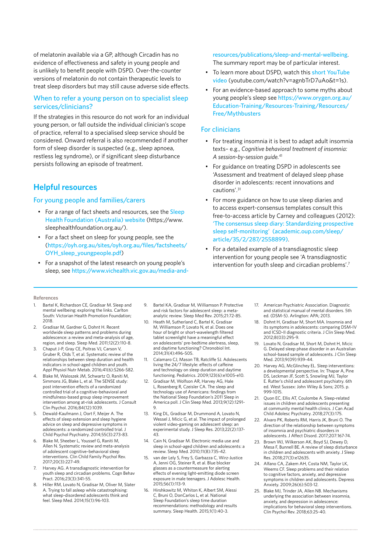of melatonin available via a GP, although Circadin has no evidence of effectiveness and safety in young people and is unlikely to benefit people with DSPD. Over-the-counter versions of melatonin do not contain therapeutic levels to treat sleep disorders but may still cause adverse side effects.

#### When to refer a young person on to specialist sleep services/clinicians?

If the strategies in this resource do not work for an individual young person, or fall outside the individual clinician's scope of practice, referral to a specialised sleep service should be considered. Onward referral is also recommended if another form of sleep disorder is suspected (e.g., sleep apnoea, restless leg syndrome), or if significant sleep disturbance persists following an episode of treatment.

## **Helpful resources**

#### For young people and families/carers

- For a range of fact sheets and resources, see the Sleep [Health Foundation \(Australia\) website](https://www.sleephealthfoundation.org.au/) (https://www. sleephealthfoundation.org.au/).
- For a fact sheet on sleep for young people, see the ([https://oyh.org.au/sites/oyh.org.au/files/factsheets/](https://oyh.org.au/sites/oyh.org.au/files/factsheets/OYH_sleep_youngpeople.pdf) [OYH\\_sleep\\_youngpeople.pdf](https://oyh.org.au/sites/oyh.org.au/files/factsheets/OYH_sleep_youngpeople.pdf))
- For a snapshot of the latest research on young people's sleep, see [https://www.vichealth.vic.gov.au/media-and-](https://www.vichealth.vic.gov.au/media-and-resources/publications/sleep-and-mental-wellbeing)

[resources/publications/sleep-and-mental-wellbeing](https://www.vichealth.vic.gov.au/media-and-resources/publications/sleep-and-mental-wellbeing). The summary report may be of particular interest.

- To learn more about DSPD, watch this short YouTube [video](https://www.youtube.com/watch?v=agnbTrD7uAo&t=1s) (youtube.com/watch?v=agnbTrD7uAo&t=1s).
- For an evidence-based approach to some myths about young people's sleep see [https://www.orygen.org.au/](https://www.orygen.org.au/Education-Training/Resources-Training/Resources/Free/Mythbusters) [Education-Training/Resources-Training/Resources/](https://www.orygen.org.au/Education-Training/Resources-Training/Resources/Free/Mythbusters) [Free/Mythbusters](https://www.orygen.org.au/Education-Training/Resources-Training/Resources/Free/Mythbusters)

#### For clinicians

- For treating insomnia it is best to adapt adult insomnia texts– e.g., *Cognitive behavioral treatment of insomnia: A session-by-session guide.*<sup>41</sup>
- For guidance on treating DSPD in adolescents see 'Assessment and treatment of delayed sleep phase disorder in adolescents: recent innovations and cautions'.31
- For more guidance on how to use sleep diaries and to access expert-consensus templates consult this free-to-access article by Carney and colleagues (2012): ['The consensus sleep diary: Standardizing prospective](https://academic.oup.com/sleep/article/35/2/287/2558899)  [sleep self-monitoring' \(academic.oup.com/sleep/](https://academic.oup.com/sleep/article/35/2/287/2558899) [article/35/2/287/2558899\)](https://academic.oup.com/sleep/article/35/2/287/2558899).
- For a detailed example of a transdiagnostic sleep intervention for young people see 'A transdiagnostic intervention for youth sleep and circadian problems'.7

#### **References**

- Bartel K, Richardson CE, Gradisar M. Sleep and mental wellbeing: exploring the links. Carlton South: Victorian Health Promotion Foundation; 2018.
- 2. Gradisar M, Gardner G, Dohnt H. Recent worldwide sleep patterns and problems during adolescence: a review and meta-analysis of age, region, and sleep. Sleep Med. 2011;12(2):110-8.
- 3. Chaput J-P, Gray CE, Poitras VJ, Carson V, Gruber R, Olds T, et al. Systematic review of the relationships between sleep duration and health indicators in school-aged children and youth. Appl Physiol Nutr Metab. 2016;41(6):S266-S82.
- 4. Blake M, Waloszek JM, Schwartz O, Raniti M, Simmons JG, Blake L, et al. The SENSE study: post intervention effects of a randomized controlled trial of a cognitive–behavioral and mindfulness-based group sleep improvement intervention among at-risk adolescents. J Consult Clin Psychol. 2016;84(12):1039.
- 5. Dewald-Kaufmann J, Oort F, Meijer A. The effects of sleep extension and sleep hygiene advice on sleep and depressive symptoms in adolescents: a randomized controlled trial. J Child Psychol Psychiatry. 2014;55(3):273-83.
- 6. Blake M, Sheeber L, Youssef G, Raniti M, Allen N. Systematic review and meta-analysis of adolescent cognitive–behavioral sleep interventions. Clin Child Family Psychol Rev. 2017;20(3):227-49.
- 7. Harvey AG. A transdiagnostic intervention for youth sleep and circadian problems. Cogn Behav Pract. 2016;23(3):341-55.
- 8. Hiller RM, Lovato N, Gradisar M, Oliver M, Slater A. Trying to fall asleep while catastrophising: what sleep-disordered adolescents think and feel. Sleep Med. 2014;15(1):96-103.
- 9. Bartel KA, Gradisar M, Williamson P. Protective and risk factors for adolescent sleep: a metaanalytic review. Sleep Med Rev. 2015;21:72-85.
- 10. Heath M, Sutherland C, Bartel K, Gradisar M, Williamson P, Lovato N, et al. Does one hour of bright or short-wavelength filtered tablet screenlight have a meaningful effect on adolescents' pre-bedtime alertness, sleep, and daytime functioning? Chronobiol Int. 2014;31(4):496-505.
- 11. Calamaro CJ, Mason TB, Ratcliffe SJ. Adolescents living the 24/7 lifestyle: effects of caffeine and technology on sleep duration and daytime functioning. Pediatrics. 2009;123(6):e1005-e10.
- 12. Gradisar M, Wolfson AR, Harvey AG, Hale L, Rosenberg R, Czeisler CA. The sleep and technology use of Americans: findings from the National Sleep Foundation's 2011 Sleep in America poll. J Clin Sleep Med. 2013;9(12):1291- 9.
- 13. King DL, Gradisar M, Drummond A, Lovato N, Wessel J, Micic G, et al. The impact of prolonged violent video-gaming on adolescent sleep: an experimental study. J Sleep Res. 2013;22(2):137- 43.
- 14. Cain N, Gradisar M. Electronic media use and sleep in school-aged children and adolescents: a review. Sleep Med. 2010;11(8):735-42.
- 15. van der Lely S, Frey S, Garbazza C, Wirz-Justice A, Jenni OG, Steiner R, et al. Blue blocker glasses as a countermeasure for alerting effects of evening light-emitting diode screen exposure in male teenagers. J Adolesc Health. 2015;56(1):113-9.
- 16. Hirshkowitz M, Whiton K, Albert SM, Alessi C, Bruni O, DonCarlos L, et al. National Sleep Foundation's sleep time duration recommendations: methodology and results summary. Sleep Health. 2015;1(1):40-3.
- 17. American Psychiatric Association. Diagnostic and statistical manual of mental disorders. 5th ed. (DSM-5). Arlington: APA; 2013.
- 18. Dohnt H, Gradisar M, Short MA. Insomnia and its symptoms in adolescents: comparing DSM-IV and ICSD-II diagnostic criteria. J Clin Sleep Med. 2012;8(03):295-9.
- 19. Lovato N, Gradisar M, Short M, Dohnt H, Micic G. Delayed sleep phase disorder in an Australian school-based sample of adolescents. J Clin Sleep Med. 2013;9(09):939-44.
- 20. Harvey AG, McGlinchey EL. Sleep interventions: a developmental perspective. In: Thapar A, Pine DS, Leckman JF, Scott S, Snowling MJ, Taylor E. Rutter's child and adolescent psychiatry. 6th ed. West Sussex: John Wiley & Sons; 2015. p. 999-1015.
- 21. Quon EC, Ellis AT, Coulombe A. Sleep-related issues in children and adolescents presenting at community mental health clinics. J Can Acad Child Adolesc Psychiatry. 2018;27(3):175.
- 22. Alvaro PK, Roberts RM, Harris JK, Bruni O. The direction of the relationship between symptoms of insomnia and psychiatric disorders in adolescents. J Affect Disord. 2017;207:167-74.
- 23. Brown WJ, Wilkerson AK, Boyd SJ, Dewey D, Mesa F, Bunnell BE. A review of sleep disturbance in children and adolescents with anxiety. J Sleep Res. 2018;27(3):e12635.
- 24. Alfano CA, Zakem AH, Costa NM, Taylor LK, Weems CF. Sleep problems and their relation to cognitive factors, anxiety, and depressive symptoms in children and adolescents. Depress Anxiety. 2009;26(6):503-12.
- 25. Blake MJ, Trinder JA, Allen NB. Mechanisms underlying the association between insomnia, anxiety, and depression in adolescence: implications for behavioral sleep interventions. Clin Psychol Rev. 2018;63:25-40.